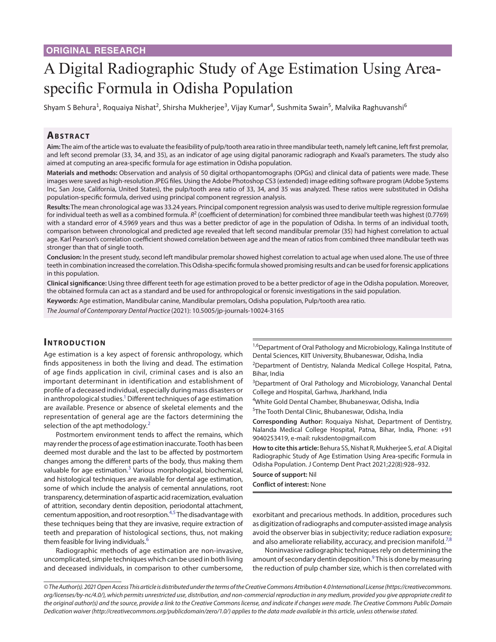# A Digital Radiographic Study of Age Estimation Using Areaspecific Formula in Odisha Population

Shyam S Behura<sup>1</sup>, Roquaiya Nishat<sup>2</sup>, Shirsha Mukherjee<sup>3</sup>, Vijay Kumar<sup>4</sup>, Sushmita Swain<sup>5</sup>, Malvika Raghuvanshi<sup>6</sup>

### **ABSTRACT**

**Aim:** The aim of the article was to evaluate the feasibility of pulp/tooth area ratio in three mandibular teeth, namely left canine, left first premolar, and left second premolar (33, 34, and 35), as an indicator of age using digital panoramic radiograph and Kvaal's parameters. The study also aimed at computing an area-specific formula for age estimation in Odisha population.

**Materials and methods:** Observation and analysis of 50 digital orthopantomographs (OPGs) and clinical data of patients were made. These images were saved as high-resolution JPEG files. Using the Adobe Photoshop CS3 (extended) image editing software program (Adobe Systems Inc, San Jose, California, United States), the pulp/tooth area ratio of 33, 34, and 35 was analyzed. These ratios were substituted in Odisha population-specific formula, derived using principal component regression analysis.

**Results:** The mean chronological age was 33.24 years. Principal component regression analysis was used to derive multiple regression formulae for individual teeth as well as a combined formula.  $R^2$  (coefficient of determination) for combined three mandibular teeth was highest (0.7769) with a standard error of 4.5969 years and thus was a better predictor of age in the population of Odisha. In terms of an individual tooth, comparison between chronological and predicted age revealed that left second mandibular premolar (35) had highest correlation to actual age. Karl Pearson's correlation coefficient showed correlation between age and the mean of ratios from combined three mandibular teeth was stronger than that of single tooth.

**Conclusion:** In the present study, second left mandibular premolar showed highest correlation to actual age when used alone. The use of three teeth in combination increased the correlation. This Odisha-specific formula showed promising results and can be used for forensic applications in this population.

**Clinical significance:** Using three different teeth for age estimation proved to be a better predictor of age in the Odisha population. Moreover, the obtained formula can act as a standard and be used for anthropological or forensic investigations in the said population.

**Keywords:** Age estimation, Mandibular canine, Mandibular premolars, Odisha population, Pulp/tooth area ratio.

*The Journal of Contemporary Dental Practice* (2021): 10.5005/jp-journals-10024-3165

#### **INTRODUCTION**

Age estimation is a key aspect of forensic anthropology, which finds appositeness in both the living and dead. The estimation of age finds application in civil, criminal cases and is also an important determinant in identification and establishment of profile of a deceased individual, especially during mass disasters or in anthropological studies. $^1$  Different techniques of age estimation are available. Presence or absence of skeletal elements and the representation of general age are the factors determining the selection of the apt methodology.<sup>[2](#page-4-1)</sup>

Postmortem environment tends to affect the remains, which may render the process of age estimation inaccurate. Tooth has been deemed most durable and the last to be affected by postmortem changes among the different parts of the body, thus making them valuable for age estimation.<sup>[3](#page-4-2)</sup> Various morphological, biochemical, and histological techniques are available for dental age estimation, some of which include the analysis of cemental annulations, root transparency, determination of aspartic acid racemization, evaluation of attrition, secondary dentin deposition, periodontal attachment, cementum apposition, and root resorption.<sup>4,[5](#page-4-4)</sup> The disadvantage with these techniques being that they are invasive, require extraction of teeth and preparation of histological sections, thus, not making them feasible for living individuals.<sup>6</sup>

Radiographic methods of age estimation are non-invasive, uncomplicated, simple techniques which can be used in both living and deceased individuals, in comparison to other cumbersome,

<sup>1,6</sup>Department of Oral Pathology and Microbiology, Kalinga Institute of Dental Sciences, KIIT University, Bhubaneswar, Odisha, India

<sup>2</sup>Department of Dentistry, Nalanda Medical College Hospital, Patna, Bihar, India

<sup>3</sup>Department of Oral Pathology and Microbiology, Vananchal Dental College and Hospital, Garhwa, Jharkhand, India

4 White Gold Dental Chamber, Bhubaneswar, Odisha, India

5 The Tooth Dental Clinic, Bhubaneswar, Odisha, India

**Corresponding Author:** Roquaiya Nishat, Department of Dentistry, Nalanda Medical College Hospital, Patna, Bihar, India, Phone: +91 9040253419, e-mail: ruksdento@gmail.com

**How to cite this article:** Behura SS, Nishat R, Mukherjee S, *et al*. A Digital Radiographic Study of Age Estimation Using Area-specific Formula in Odisha Population. J Contemp Dent Pract 2021;22(8):928–932.

**Source of support:** Nil

**Conflict of interest:** None

exorbitant and precarious methods. In addition, procedures such as digitization of radiographs and computer-assisted image analysis avoid the observer bias in subjectivity; reduce radiation exposure; and also ameliorate reliability, accuracy, and precision manifold.<sup>[7](#page-4-6),[8](#page-4-7)</sup>

Noninvasive radiographic techniques rely on determining the amount of secondary dentin deposition.<sup>9</sup> This is done by measuring the reduction of pulp chamber size, which is then correlated with

*<sup>©</sup> The Author(s). 2021 Open Access This article is distributed under the terms of the Creative Commons Attribution 4.0 International License ([https://creativecommons.](https://creativecommons. org/licenses/by-nc/4.0/)  [org/licenses/by-nc/4.0/](https://creativecommons. org/licenses/by-nc/4.0/)), which permits unrestricted use, distribution, and non-commercial reproduction in any medium, provided you give appropriate credit to the original author(s) and the source, provide a link to the Creative Commons license, and indicate if changes were made. The Creative Commons Public Domain Dedication waiver ([http://creativecommons.org/publicdomain/zero/1.0/\)](http://creativecommons.org/publicdomain/zero/1.0/) applies to the data made available in this article, unless otherwise stated.*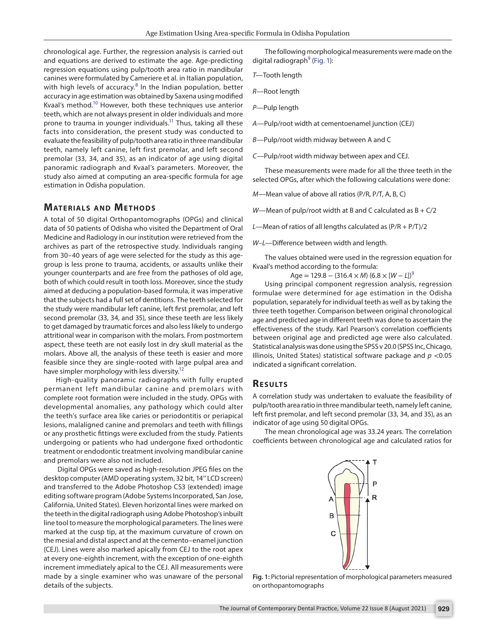chronological age. Further, the regression analysis is carried out and equations are derived to estimate the age. Age-predicting regression equations using pulp/tooth area ratio in mandibular canines were formulated by Cameriere et al*.* in Italian population, with high levels of accuracy.<sup>[8](#page-4-7)</sup> In the Indian population, better accuracy in age estimation was obtained by Saxena using modified Kvaal's method[.10](#page-4-9) However, both these techniques use anterior teeth, which are not always present in older individuals and more prone to trauma in younger individuals.<sup>11</sup> Thus, taking all these facts into consideration, the present study was conducted to evaluate the feasibility of pulp/tooth area ratio in three mandibular teeth, namely left canine, left first premolar, and left second premolar (33, 34, and 35), as an indicator of age using digital panoramic radiograph and Kvaal's parameters. Moreover, the study also aimed at computing an area-specific formula for age estimation in Odisha population.

#### **MATERIALS AND METHODS**

A total of 50 digital Orthopantomographs (OPGs) and clinical data of 50 patients of Odisha who visited the Department of Oral Medicine and Radiology in our institution were retrieved from the archives as part of the retrospective study. Individuals ranging from 30–40 years of age were selected for the study as this agegroup is less prone to trauma, accidents, or assaults unlike their younger counterparts and are free from the pathoses of old age, both of which could result in tooth loss. Moreover, since the study aimed at deducing a population-based formula, it was imperative that the subjects had a full set of dentitions. The teeth selected for the study were mandibular left canine, left first premolar, and left second premolar (33, 34, and 35), since these teeth are less likely to get damaged by traumatic forces and also less likely to undergo attritional wear in comparison with the molars. From postmortem aspect, these teeth are not easily lost in dry skull material as the molars. Above all, the analysis of these teeth is easier and more feasible since they are single-rooted with large pulpal area and have simpler morphology with less diversity[.12](#page-4-11)

High-quality panoramic radiographs with fully erupted permanent left mandibular canine and premolars with complete root formation were included in the study. OPGs with developmental anomalies, any pathology which could alter the teeth's surface area like caries or periodontitis or periapical lesions, malaligned canine and premolars and teeth with fillings or any prosthetic fittings were excluded from the study. Patients undergoing or patients who had undergone fixed orthodontic treatment or endodontic treatment involving mandibular canine and premolars were also not included.

 Digital OPGs were saved as high-resolution JPEG files on the desktop computer (AMD operating system, 32 bit, 14'' LCD screen) and transferred to the Adobe Photoshop CS3 (extended) image editing software program (Adobe Systems Incorporated, San Jose, California, United States). Eleven horizontal lines were marked on the teeth in the digital radiograph using Adobe Photoshop's inbuilt line tool to measure the morphological parameters. The lines were marked at the cusp tip, at the maximum curvature of crown on the mesial and distal aspect and at the cemento–enamel junction (CEJ). Lines were also marked apically from CEJ to the root apex at every one-eighth increment, with the exception of one-eighth increment immediately apical to the CEJ. All measurements were made by a single examiner who was unaware of the personal details of the subjects.

The following morphological measurements were made on the digital radiograph<sup>9</sup> ([Fig. 1](#page-1-0)):

*T—*Tooth length

*R—*Root length

*P—*Pulp length

*A—*Pulp/root width at cementoenamel junction (CEJ)

*B—*Pulp/root width midway between A and C

*C—*Pulp/root width midway between apex and CEJ.

These measurements were made for all the three teeth in the selected OPGs, after which the following calculations were done:

*M—*Mean value of above all ratios (P/R, P/T, A, B, C)

*W*—Mean of pulp/root width at B and C calculated as B + C/2

*L—*Mean of ratios of all lengths calculated as (P/R + P/T)/2

*W–L—*Difference between width and length.

The values obtained were used in the regression equation for Kvaal's method according to the formula:

 $Age = 129.8 - (316.4 \times M) (6.8 \times [W - L])^9$ 

Using principal component regression analysis, regression formulae were determined for age estimation in the Odisha population, separately for individual teeth as well as by taking the three teeth together. Comparison between original chronological age and predicted age in different teeth was done to ascertain the effectiveness of the study. Karl Pearson's correlation coefficients between original age and predicted age were also calculated. Statistical analysis was done using the SPSS v 20.0 (SPSS Inc, Chicago, Illinois, United States) statistical software package and *p* <0.05 indicated a significant correlation.

#### **RESULTS**

A correlation study was undertaken to evaluate the feasibility of pulp/tooth area ratio in three mandibular teeth, namely left canine, left first premolar, and left second premolar (33, 34, and 35), as an indicator of age using 50 digital OPGs.

The mean chronological age was 33.24 years. The correlation coefficients between chronological age and calculated ratios for

> P R A B C

<span id="page-1-0"></span>**Fig. 1:** Pictorial representation of morphological parameters measured on orthopantomographs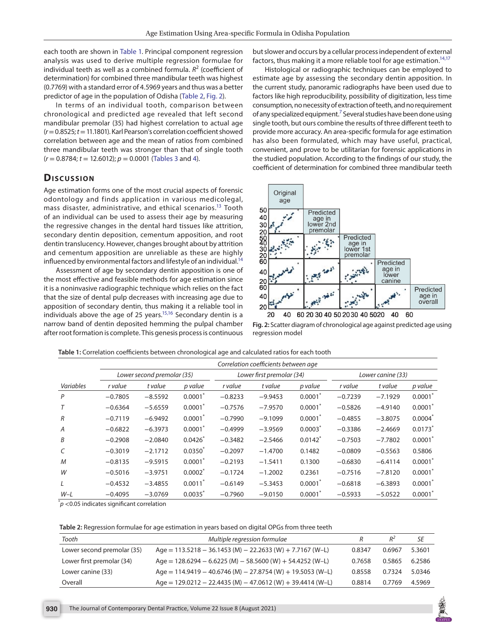each tooth are shown in [Table 1.](#page-2-0) Principal component regression analysis was used to derive multiple regression formulae for individual teeth as well as a combined formula.  $R^2$  (coefficient of determination) for combined three mandibular teeth was highest (0.7769) with a standard error of 4.5969 years and thus was a better predictor of age in the population of Odisha ([Table 2](#page-2-1), [Fig. 2\)](#page-2-2).

In terms of an individual tooth, comparison between chronological and predicted age revealed that left second mandibular premolar (35) had highest correlation to actual age (*r*= 0.8525; *t*= 11.1801). Karl Pearson's correlation coefficient showed correlation between age and the mean of ratios from combined three mandibular teeth was stronger than that of single tooth (*r* = 0.8784; *t* = 12.6012); *p* = 0.0001 ([Tables 3](#page-3-0) and [4\)](#page-3-1).

#### **Dis c u s sio n**

Age estimation forms one of the most crucial aspects of forensic odontology and finds application in various medicolegal, mass disaster, administrative, and ethical scenarios.<sup>13</sup> Tooth of an individual can be used to assess their age by measuring the regressive changes in the dental hard tissues like attrition, secondary dentin deposition, cementum apposition, and root dentin translucency. However, changes brought about by attrition and cementum apposition are unreliable as these are highly influenced by environmental factors and lifestyle of an individual.<sup>14</sup>

Assessment of age by secondary dentin apposition is one of the most effective and feasible methods for age estimation since it is a noninvasive radiographic technique which relies on the fact that the size of dental pulp decreases with increasing age due to apposition of secondary dentin, thus making it a reliable tool in individuals above the age of 25 years.<sup>15,16</sup> Secondary dentin is a narrow band of dentin deposited hemming the pulpal chamber after root formation is complete. This genesis process is continuous

but slower and occurs by a cellular process independent of external factors, thus making it a more reliable tool for age estimation.<sup>14[,17](#page-4-13)</sup>

Histological or radiographic techniques can be employed to estimate age by assessing the secondary dentin apposition. In the current study, panoramic radiographs have been used due to factors like high reproducibility, possibility of digitization, less time consumption, no necessity of extraction of teeth, and no requirement of any specialized equipment.<sup>7</sup> Several studies have been done using single tooth, but ours combine the results of three different teeth to provide more accuracy. An area-specific formula for age estimation has also been formulated, which may have useful, practical, convenient, and prove to be utilitarian for forensic applications in the studied population. According to the findings of our study, the coefficient of determination for combined three mandibular teeth



<span id="page-2-2"></span>

<span id="page-2-0"></span>

| Table 1: Correlation coefficients between chronological age and calculated ratios for each tooth |  |
|--------------------------------------------------------------------------------------------------|--|
|--------------------------------------------------------------------------------------------------|--|

|                | Correlation coefficients between age |           |                       |                           |           |            |                   |           |         |
|----------------|--------------------------------------|-----------|-----------------------|---------------------------|-----------|------------|-------------------|-----------|---------|
|                | Lower second premolar (35)           |           |                       | Lower first premolar (34) |           |            | Lower canine (33) |           |         |
| Variables      | <i>r</i> value                       | t value   | p value               | r value                   | t value   | p value    | <i>r</i> value    | t value   | p value |
| P              | $-0.7805$                            | $-8.5592$ | 0.0001                | $-0.8233$                 | $-9.9453$ | $0.0001^*$ | $-0.7239$         | $-7.1929$ | 0.0001  |
| T              | $-0.6364$                            | $-5.6559$ | 0.0001                | $-0.7576$                 | $-7.9570$ | 0.0001     | $-0.5826$         | $-4.9140$ | 0.0001  |
| $\overline{R}$ | $-0.7119$                            | $-6.9492$ | $0.0001*$             | $-0.7990$                 | $-9.1099$ | $0.0001^*$ | $-0.4855$         | $-3.8075$ | 0.0004  |
| $\overline{A}$ | $-0.6822$                            | $-6.3973$ | $0.0001$ *            | $-0.4999$                 | $-3.9569$ | $0.0003*$  | $-0.3386$         | $-2.4669$ | 0.0173  |
| B              | $-0.2908$                            | $-2.0840$ | $0.0426*$             | $-0.3482$                 | $-2.5466$ | 0.0142     | $-0.7503$         | $-7.7802$ | 0.0001  |
| C              | $-0.3019$                            | $-2.1712$ | $0.0350^{*}$          | $-0.2097$                 | $-1.4700$ | 0.1482     | $-0.0809$         | $-0.5563$ | 0.5806  |
| M              | $-0.8135$                            | $-9.5915$ | 0.0001                | $-0.2193$                 | $-1.5411$ | 0.1300     | $-0.6830$         | $-6.4114$ | 0.0001  |
| W              | $-0.5016$                            | $-3.9751$ | 0.0002                | $-0.1724$                 | $-1.2002$ | 0.2361     | $-0.7516$         | $-7.8120$ | 0.0001  |
| $\perp$        | $-0.4532$                            | $-3.4855$ | $0.0011$ <sup>*</sup> | $-0.6149$                 | $-5.3453$ | 0.0001     | $-0.6818$         | $-6.3893$ | 0.0001  |
| $W-L$          | $-0.4095$                            | $-3.0769$ | 0.0035                | $-0.7960$                 | $-9.0150$ | 0.0001'    | $-0.5933$         | $-5.0522$ | 0.0001  |

 $p^*$   $>$  0.05 indicates significant correlation

#### <span id="page-2-1"></span>**Table 2:** Regression formulae for age estimation in years based on digital OPGs from three teeth

| Tooth                      | Multiple regression formulae                                     |        | R∸     | SE     |
|----------------------------|------------------------------------------------------------------|--------|--------|--------|
| Lower second premolar (35) | Age = $113.5218 - 36.1453$ (M) $- 22.2633$ (W) $+ 7.7167$ (W-L)  | 0.8347 | 0.6967 | 5.3601 |
| Lower first premolar (34)  | Age = $128.6294 - 6.6225$ (M) $- 58.5600$ (W) $+ 54.4252$ (W-L)  | 0.7658 | 0.5865 | 6.2586 |
| Lower canine (33)          | Age = $114.9419 - 40.6746$ (M) $- 27.8754$ (W) $+ 19.5053$ (W-L) | 0.8558 | 0.7324 | 5.0346 |
| Overall                    | Age = $129.0212 - 22.4435$ (M) $- 47.0612$ (W) $+ 39.4414$ (W-L) | 0.8814 | 0.7769 | 4.5969 |

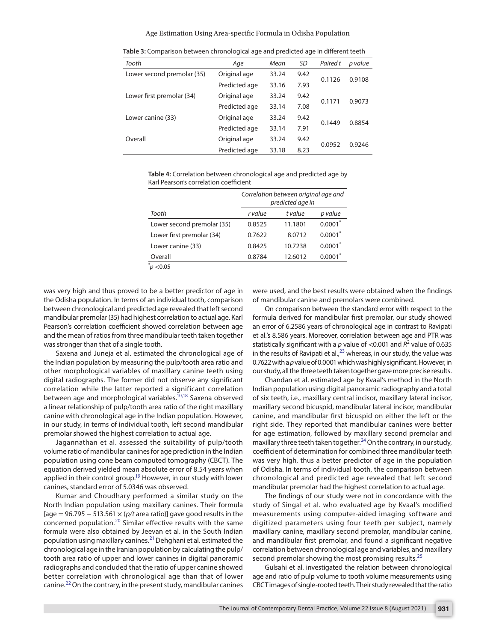| Tooth                      | Age           | Mean  | SD   | Paired t | p value |
|----------------------------|---------------|-------|------|----------|---------|
| Lower second premolar (35) | Original age  | 33.24 | 9.42 | 0.1126   | 0.9108  |
|                            | Predicted age | 33.16 | 7.93 |          |         |
| Lower first premolar (34)  | Original age  | 33.24 | 9.42 |          |         |
|                            | Predicted age | 33.14 | 7.08 | 0.1171   | 0.9073  |
| Lower canine (33)          | Original age  | 33.24 | 9.42 |          | 0.8854  |
|                            | Predicted age | 33.14 | 7.91 | 0.1449   |         |
| Overall                    | Original age  | 33.24 | 9.42 |          | 0.9246  |
|                            | Predicted age | 33.18 | 8.23 | 0.0952   |         |
|                            |               |       |      |          |         |

<span id="page-3-0"></span>**Table 3:** Comparison between chronological age and predicted age in different teeth

<span id="page-3-1"></span>**Table 4:** Correlation between chronological age and predicted age by Karl Pearson's correlation coefficient

|                            | Correlation between original age and<br>predicted age in |         |            |  |  |
|----------------------------|----------------------------------------------------------|---------|------------|--|--|
| Tooth                      | r value                                                  | t value | p value    |  |  |
| Lower second premolar (35) | 0.8525                                                   | 11.1801 | $0.0001^*$ |  |  |
| Lower first premolar (34)  | 0.7622                                                   | 8.0712  | $0.0001^*$ |  |  |
| Lower canine (33)          | 0.8425                                                   | 10.7238 | $0.0001^*$ |  |  |
| Overall                    | 0.8784                                                   | 12.6012 | $0.0001*$  |  |  |
| p < 0.05                   |                                                          |         |            |  |  |

was very high and thus proved to be a better predictor of age in the Odisha population. In terms of an individual tooth, comparison between chronological and predicted age revealed that left second mandibular premolar (35) had highest correlation to actual age. Karl Pearson's correlation coefficient showed correlation between age and the mean of ratios from three mandibular teeth taken together was stronger than that of a single tooth.

Saxena and Juneja et al. estimated the chronological age of the Indian population by measuring the pulp/tooth area ratio and other morphological variables of maxillary canine teeth using digital radiographs. The former did not observe any significant correlation while the latter reported a significant correlation between age and morphological variables.<sup>10,18</sup> Saxena observed a linear relationship of pulp/tooth area ratio of the right maxillary canine with chronological age in the Indian population. However, in our study, in terms of individual tooth, left second mandibular premolar showed the highest correlation to actual age.

Jagannathan et al. assessed the suitability of pulp/tooth volume ratio of mandibular canines for age prediction in the Indian population using cone beam computed tomography (CBCT). The equation derived yielded mean absolute error of 8.54 years when applied in their control group.<sup>19</sup> However, in our study with lower canines, standard error of 5.0346 was observed.

Kumar and Choudhary performed a similar study on the North Indian population using maxillary canines. Their formula [age = 96.795 − 513.561 × (*p/t* area ratio)] gave good results in the concerned population.[20](#page-4-22) Similar effective results with the same formula were also obtained by Jeevan et al. in the South Indian population using maxillary canines.[21](#page-4-23) Dehghani et al. estimated the chronological age in the Iranian population by calculating the pulp/ tooth area ratio of upper and lower canines in digital panoramic radiographs and concluded that the ratio of upper canine showed better correlation with chronological age than that of lower canine.<sup>22</sup> On the contrary, in the present study, mandibular canines

were used, and the best results were obtained when the findings of mandibular canine and premolars were combined.

On comparison between the standard error with respect to the formula derived for mandibular first premolar, our study showed an error of 6.2586 years of chronological age in contrast to Ravipati et al.'s 8.586 years. Moreover, correlation between age and PTR was statistically significant with a  $p$  value of  $<$ 0.001 and  $R^2$  value of 0.635 in the results of Ravipati et al.,<sup>23</sup> whereas, in our study, the value was 0.7622 with a *p* value of 0.0001 which was highly significant. However, in our study, all the three teeth taken together gave more precise results.

Chandan et al. estimated age by Kvaal's method in the North Indian population using digital panoramic radiography and a total of six teeth, i.e., maxillary central incisor, maxillary lateral incisor, maxillary second bicuspid, mandibular lateral incisor, mandibular canine, and mandibular first bicuspid on either the left or the right side. They reported that mandibular canines were better for age estimation, followed by maxillary second premolar and maxillary three teeth taken together.<sup>24</sup> On the contrary, in our study, coefficient of determination for combined three mandibular teeth was very high, thus a better predictor of age in the population of Odisha. In terms of individual tooth, the comparison between chronological and predicted age revealed that left second mandibular premolar had the highest correlation to actual age.

The findings of our study were not in concordance with the study of Singal et al. who evaluated age by Kvaal's modified measurements using computer-aided imaging software and digitized parameters using four teeth per subject, namely maxillary canine, maxillary second premolar, mandibular canine, and mandibular first premolar, and found a significant negative correlation between chronological age and variables, and maxillary second premolar showing the most promising results.<sup>[25](#page-4-19)</sup>

Gulsahi et al. investigated the relation between chronological age and ratio of pulp volume to tooth volume measurements using CBCT images of single-rooted teeth. Their study revealed that the ratio